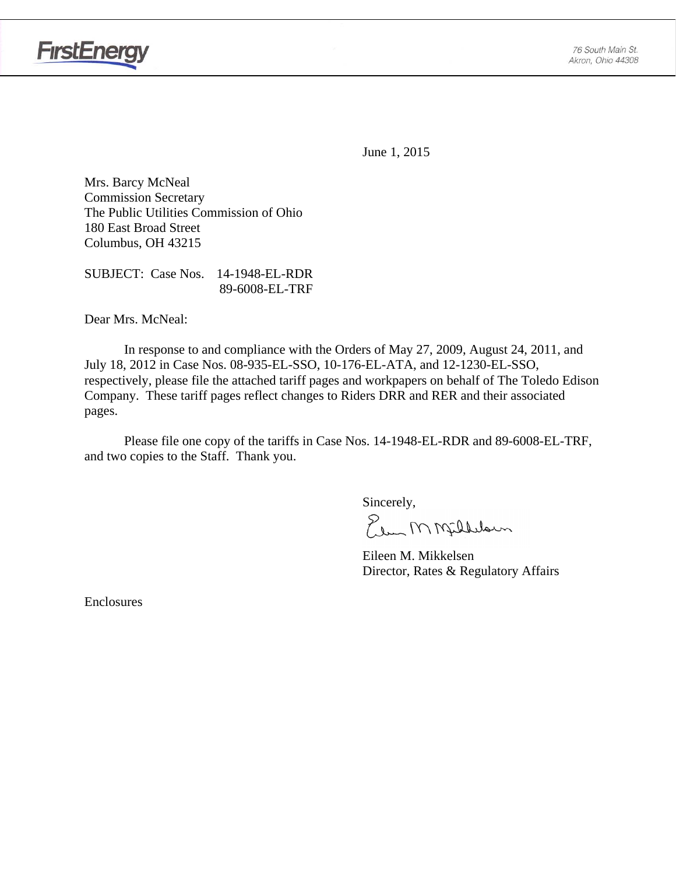

June 1, 2015

Mrs. Barcy McNeal Commission Secretary The Public Utilities Commission of Ohio 180 East Broad Street Columbus, OH 43215

SUBJECT: Case Nos. 14-1948-EL-RDR 89-6008-EL-TRF

Dear Mrs. McNeal:

 In response to and compliance with the Orders of May 27, 2009, August 24, 2011, and July 18, 2012 in Case Nos. 08-935-EL-SSO, 10-176-EL-ATA, and 12-1230-EL-SSO, respectively, please file the attached tariff pages and workpapers on behalf of The Toledo Edison Company. These tariff pages reflect changes to Riders DRR and RER and their associated pages.

Please file one copy of the tariffs in Case Nos. 14-1948-EL-RDR and 89-6008-EL-TRF, and two copies to the Staff. Thank you.

Sincerely,

Elem M Milleloun

 Eileen M. Mikkelsen Director, Rates & Regulatory Affairs

Enclosures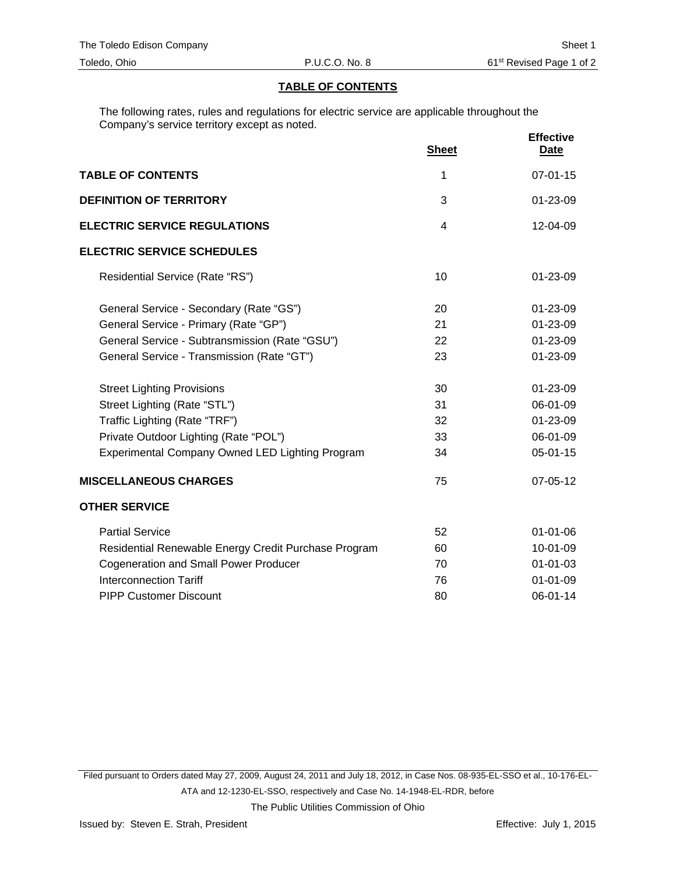#### **TABLE OF CONTENTS**

The following rates, rules and regulations for electric service are applicable throughout the Company's service territory except as noted.

|                                                      | <b>Sheet</b>   | <b>Effective</b><br><u>Date</u> |
|------------------------------------------------------|----------------|---------------------------------|
| <b>TABLE OF CONTENTS</b>                             | 1              | $07 - 01 - 15$                  |
| <b>DEFINITION OF TERRITORY</b>                       | 3              | 01-23-09                        |
| <b>ELECTRIC SERVICE REGULATIONS</b>                  | $\overline{4}$ | 12-04-09                        |
| <b>ELECTRIC SERVICE SCHEDULES</b>                    |                |                                 |
| Residential Service (Rate "RS")                      | 10             | $01 - 23 - 09$                  |
| General Service - Secondary (Rate "GS")              | 20             | $01 - 23 - 09$                  |
| General Service - Primary (Rate "GP")                | 21             | 01-23-09                        |
| General Service - Subtransmission (Rate "GSU")       | 22             | 01-23-09                        |
| General Service - Transmission (Rate "GT")           | 23             | 01-23-09                        |
| <b>Street Lighting Provisions</b>                    | 30             | 01-23-09                        |
| Street Lighting (Rate "STL")                         | 31             | 06-01-09                        |
| Traffic Lighting (Rate "TRF")                        | 32             | 01-23-09                        |
| Private Outdoor Lighting (Rate "POL")                | 33             | 06-01-09                        |
| Experimental Company Owned LED Lighting Program      | 34             | $05 - 01 - 15$                  |
| <b>MISCELLANEOUS CHARGES</b>                         | 75             | 07-05-12                        |
| <b>OTHER SERVICE</b>                                 |                |                                 |
| <b>Partial Service</b>                               | 52             | $01 - 01 - 06$                  |
| Residential Renewable Energy Credit Purchase Program | 60             | 10-01-09                        |
| <b>Cogeneration and Small Power Producer</b>         | 70             | $01 - 01 - 03$                  |
| <b>Interconnection Tariff</b>                        | 76             | $01 - 01 - 09$                  |
| <b>PIPP Customer Discount</b>                        | 80             | 06-01-14                        |

Filed pursuant to Orders dated May 27, 2009, August 24, 2011 and July 18, 2012, in Case Nos. 08-935-EL-SSO et al., 10-176-EL-

ATA and 12-1230-EL-SSO, respectively and Case No. 14-1948-EL-RDR, before

The Public Utilities Commission of Ohio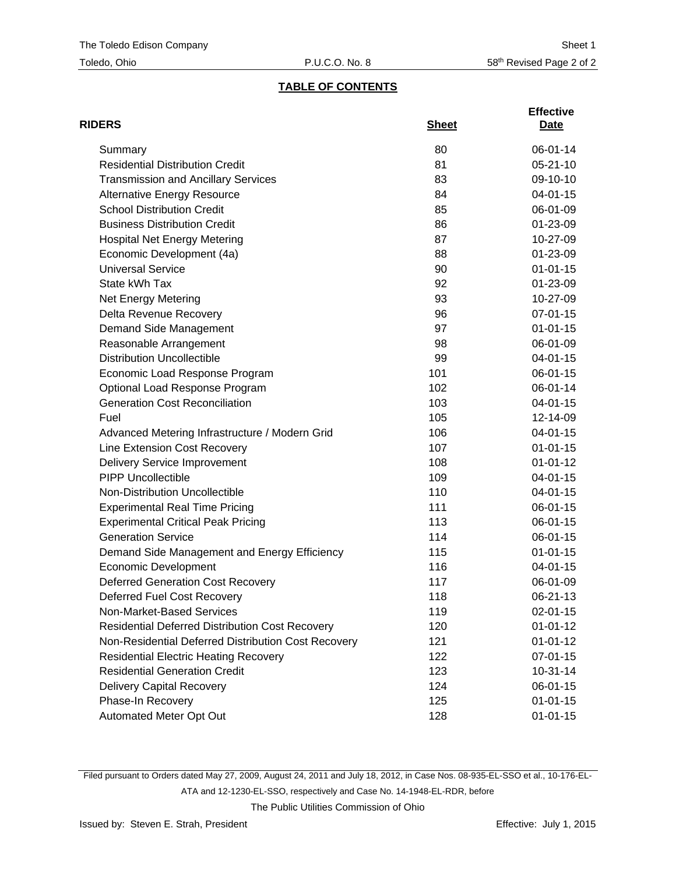## **TABLE OF CONTENTS**

| <b>RIDERS</b>                                          | <b>Sheet</b> | <b>Effective</b><br>Date |
|--------------------------------------------------------|--------------|--------------------------|
| Summary                                                | 80           | 06-01-14                 |
| <b>Residential Distribution Credit</b>                 | 81           | $05 - 21 - 10$           |
| <b>Transmission and Ancillary Services</b>             | 83           | 09-10-10                 |
| <b>Alternative Energy Resource</b>                     | 84           | $04 - 01 - 15$           |
| <b>School Distribution Credit</b>                      | 85           | 06-01-09                 |
| <b>Business Distribution Credit</b>                    | 86           | 01-23-09                 |
| <b>Hospital Net Energy Metering</b>                    | 87           | 10-27-09                 |
| Economic Development (4a)                              | 88           | 01-23-09                 |
| <b>Universal Service</b>                               | 90           | $01 - 01 - 15$           |
| State kWh Tax                                          | 92           | 01-23-09                 |
| Net Energy Metering                                    | 93           | 10-27-09                 |
| Delta Revenue Recovery                                 | 96           | 07-01-15                 |
| Demand Side Management                                 | 97           | $01 - 01 - 15$           |
| Reasonable Arrangement                                 | 98           | 06-01-09                 |
| <b>Distribution Uncollectible</b>                      | 99           | $04 - 01 - 15$           |
| Economic Load Response Program                         | 101          | 06-01-15                 |
| Optional Load Response Program                         | 102          | 06-01-14                 |
| <b>Generation Cost Reconciliation</b>                  | 103          | $04 - 01 - 15$           |
| Fuel                                                   | 105          | 12-14-09                 |
| Advanced Metering Infrastructure / Modern Grid         | 106          | 04-01-15                 |
| Line Extension Cost Recovery                           | 107          | $01 - 01 - 15$           |
| <b>Delivery Service Improvement</b>                    | 108          | $01 - 01 - 12$           |
| <b>PIPP Uncollectible</b>                              | 109          | 04-01-15                 |
| Non-Distribution Uncollectible                         | 110          | 04-01-15                 |
| <b>Experimental Real Time Pricing</b>                  | 111          | 06-01-15                 |
| <b>Experimental Critical Peak Pricing</b>              | 113          | 06-01-15                 |
| <b>Generation Service</b>                              | 114          | 06-01-15                 |
| Demand Side Management and Energy Efficiency           | 115          | $01 - 01 - 15$           |
| <b>Economic Development</b>                            | 116          | 04-01-15                 |
| <b>Deferred Generation Cost Recovery</b>               | 117          | 06-01-09                 |
| Deferred Fuel Cost Recovery                            | 118          | 06-21-13                 |
| Non-Market-Based Services                              | 119          | $02 - 01 - 15$           |
| <b>Residential Deferred Distribution Cost Recovery</b> | 120          | $01 - 01 - 12$           |
| Non-Residential Deferred Distribution Cost Recovery    | 121          | $01 - 01 - 12$           |
| <b>Residential Electric Heating Recovery</b>           | 122          | 07-01-15                 |
| <b>Residential Generation Credit</b>                   | 123          | $10-31-14$               |
| <b>Delivery Capital Recovery</b>                       | 124          | 06-01-15                 |
| Phase-In Recovery                                      | 125          | $01 - 01 - 15$           |
| Automated Meter Opt Out                                | 128          | $01 - 01 - 15$           |

Filed pursuant to Orders dated May 27, 2009, August 24, 2011 and July 18, 2012, in Case Nos. 08-935-EL-SSO et al., 10-176-EL-

ATA and 12-1230-EL-SSO, respectively and Case No. 14-1948-EL-RDR, before

The Public Utilities Commission of Ohio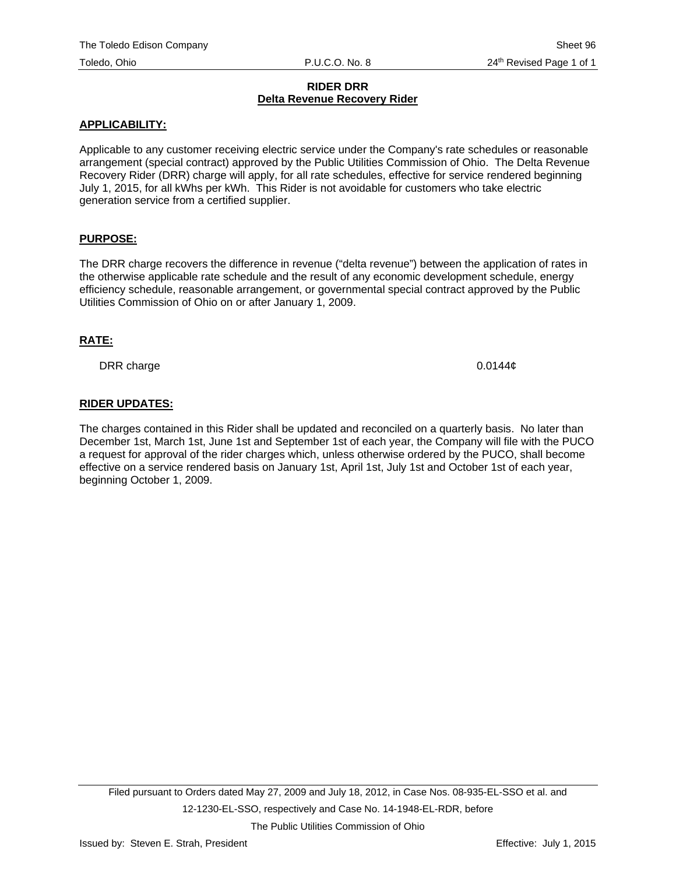#### **RIDER DRR Delta Revenue Recovery Rider**

#### **APPLICABILITY:**

Applicable to any customer receiving electric service under the Company's rate schedules or reasonable arrangement (special contract) approved by the Public Utilities Commission of Ohio. The Delta Revenue Recovery Rider (DRR) charge will apply, for all rate schedules, effective for service rendered beginning July 1, 2015, for all kWhs per kWh. This Rider is not avoidable for customers who take electric generation service from a certified supplier.

### **PURPOSE:**

The DRR charge recovers the difference in revenue ("delta revenue") between the application of rates in the otherwise applicable rate schedule and the result of any economic development schedule, energy efficiency schedule, reasonable arrangement, or governmental special contract approved by the Public Utilities Commission of Ohio on or after January 1, 2009.

#### **RATE:**

DRR charge 0.0144¢

### **RIDER UPDATES:**

The charges contained in this Rider shall be updated and reconciled on a quarterly basis. No later than December 1st, March 1st, June 1st and September 1st of each year, the Company will file with the PUCO a request for approval of the rider charges which, unless otherwise ordered by the PUCO, shall become effective on a service rendered basis on January 1st, April 1st, July 1st and October 1st of each year, beginning October 1, 2009.

The Public Utilities Commission of Ohio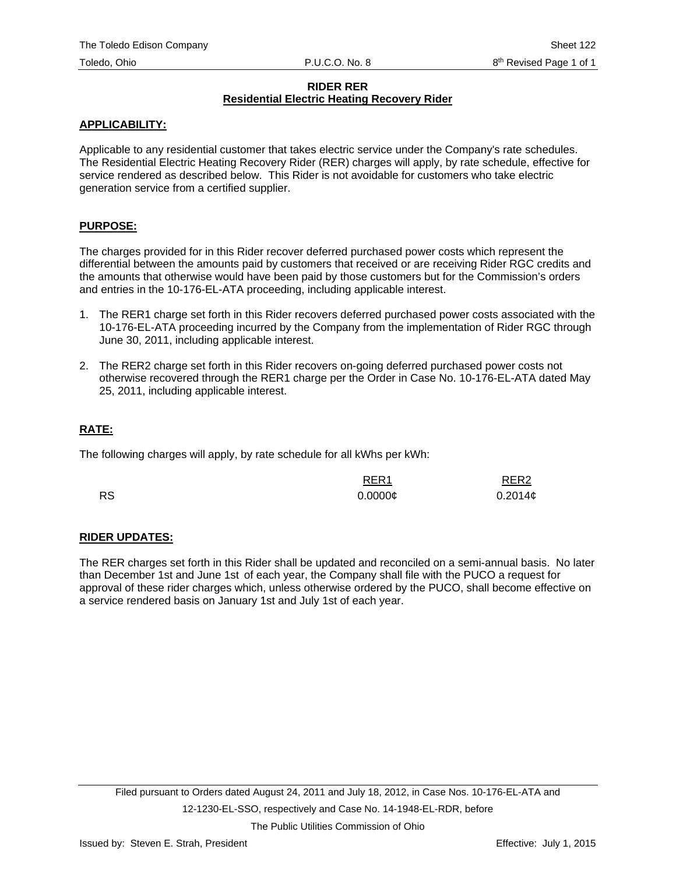#### **RIDER RER Residential Electric Heating Recovery Rider**

### **APPLICABILITY:**

Applicable to any residential customer that takes electric service under the Company's rate schedules. The Residential Electric Heating Recovery Rider (RER) charges will apply, by rate schedule, effective for service rendered as described below. This Rider is not avoidable for customers who take electric generation service from a certified supplier.

### **PURPOSE:**

The charges provided for in this Rider recover deferred purchased power costs which represent the differential between the amounts paid by customers that received or are receiving Rider RGC credits and the amounts that otherwise would have been paid by those customers but for the Commission's orders and entries in the 10-176-EL-ATA proceeding, including applicable interest.

- 1. The RER1 charge set forth in this Rider recovers deferred purchased power costs associated with the 10-176-EL-ATA proceeding incurred by the Company from the implementation of Rider RGC through June 30, 2011, including applicable interest.
- 2. The RER2 charge set forth in this Rider recovers on-going deferred purchased power costs not otherwise recovered through the RER1 charge per the Order in Case No. 10-176-EL-ATA dated May 25, 2011, including applicable interest.

### **RATE:**

The following charges will apply, by rate schedule for all kWhs per kWh:

|           | RER <sub>1</sub>    | RER <sub>2</sub> |
|-----------|---------------------|------------------|
| <b>RS</b> | $0.0000\mathcal{C}$ | $0.2014$ ¢       |

### **RIDER UPDATES:**

The RER charges set forth in this Rider shall be updated and reconciled on a semi-annual basis. No later than December 1st and June 1st of each year, the Company shall file with the PUCO a request for approval of these rider charges which, unless otherwise ordered by the PUCO, shall become effective on a service rendered basis on January 1st and July 1st of each year.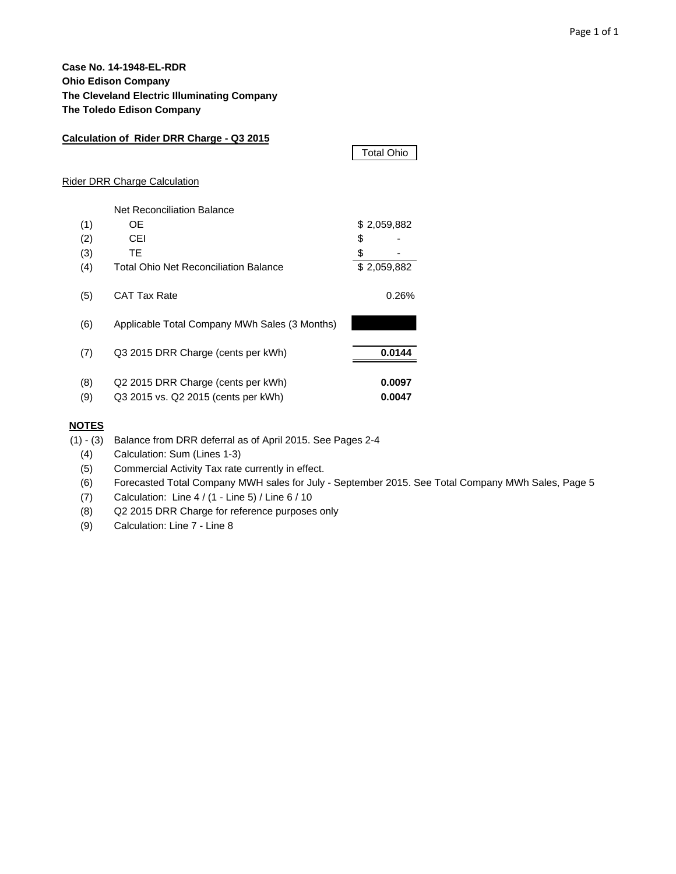### **Case No. 14-1948-EL-RDR Ohio Edison Company The Cleveland Electric Illuminating Company The Toledo Edison Company**

| Calculation of Rider DRR Charge - Q3 2015 |                                               |                   |  |  |  |  |  |  |  |  |  |
|-------------------------------------------|-----------------------------------------------|-------------------|--|--|--|--|--|--|--|--|--|
|                                           |                                               | <b>Total Ohio</b> |  |  |  |  |  |  |  |  |  |
|                                           | Rider DRR Charge Calculation                  |                   |  |  |  |  |  |  |  |  |  |
|                                           | <b>Net Reconciliation Balance</b>             |                   |  |  |  |  |  |  |  |  |  |
| (1)                                       | 0E                                            | \$2,059,882       |  |  |  |  |  |  |  |  |  |
| (2)                                       | CEI                                           | \$                |  |  |  |  |  |  |  |  |  |
| (3)                                       | TE.                                           | \$                |  |  |  |  |  |  |  |  |  |
| (4)                                       | <b>Total Ohio Net Reconciliation Balance</b>  | \$2,059,882       |  |  |  |  |  |  |  |  |  |
| (5)                                       | <b>CAT Tax Rate</b>                           | 0.26%             |  |  |  |  |  |  |  |  |  |
| (6)                                       | Applicable Total Company MWh Sales (3 Months) |                   |  |  |  |  |  |  |  |  |  |
| (7)                                       | Q3 2015 DRR Charge (cents per kWh)            | 0.0144            |  |  |  |  |  |  |  |  |  |
| (8)                                       | Q2 2015 DRR Charge (cents per kWh)            | 0.0097            |  |  |  |  |  |  |  |  |  |
| (9)                                       | Q3 2015 vs. Q2 2015 (cents per kWh)           | 0.0047            |  |  |  |  |  |  |  |  |  |

#### **NOTES**

(1) - (3) Balance from DRR deferral as of April 2015. See Pages 2-4

(4) Calculation: Sum (Lines 1-3)

(5) Commercial Activity Tax rate currently in effect.

(6) Forecasted Total Company MWH sales for July - September 2015. See Total Company MWh Sales, Page 5

(7) Calculation: Line 4 / (1 - Line 5) / Line 6 / 10

(8) Q2 2015 DRR Charge for reference purposes only

(9) Calculation: Line 7 - Line 8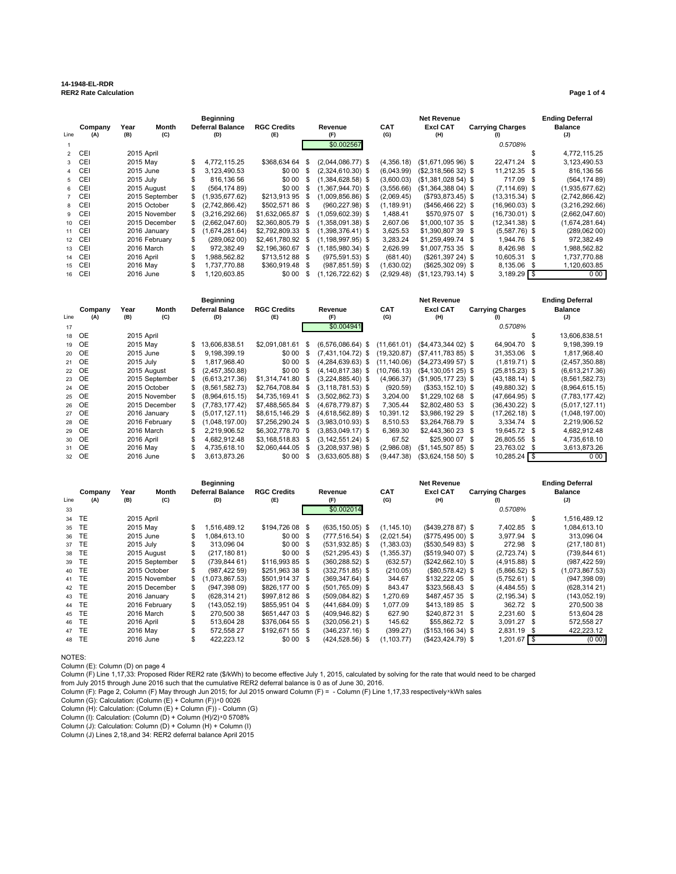# **14-1948-EL-RDR**

| .                                 |                    |
|-----------------------------------|--------------------|
| <b>RER2 Rate Calculation</b><br>. | Page 1<br>. 1 o t4 |
|                                   |                    |

|        |         | Beginning  |                |                         | <b>Net Revenue</b> |          |                       |  |             |                      |  | <b>Ending Deferral</b>  |  |                |
|--------|---------|------------|----------------|-------------------------|--------------------|----------|-----------------------|--|-------------|----------------------|--|-------------------------|--|----------------|
|        | Company | Year       | Month          | <b>Deferral Balance</b> | <b>RGC Credits</b> |          | Revenue               |  | <b>CAT</b>  | <b>Excl CAT</b>      |  | <b>Carrying Charges</b> |  | <b>Balance</b> |
| Line   | (A)     | (B)        | (C)            | (D)                     | (E)                |          | (F)                   |  | (G)         | (H)                  |  | (1)                     |  | (J)            |
|        |         |            |                |                         |                    |          | \$0.002567            |  |             |                      |  | 0.5708%                 |  |                |
|        | 2 CEI   | 2015 April |                |                         |                    |          |                       |  |             |                      |  |                         |  | 4,772,115.25   |
|        | 3 CEI   | 2015 May   |                | 4,772,115.25            | \$368,634 64       | S        | $(2,044,086.77)$ \$   |  | (4.356.18)  | $($1,671,09596)$ \$  |  | 22,471.24 \$            |  | 3,123,490.53   |
|        | 4 CEI   | 2015 June  |                | 3,123,490.53            | \$0 00             | \$       | $(2,324,610.30)$ \$   |  | (6,043.99)  | $($2,318,56632)$ \$  |  | 11,212.35 \$            |  | 816,136 56     |
|        | 5 CEI   | 2015 July  |                | 816.136 56              | \$0.00             | S.       | $(1,384,628.58)$ \$   |  | (3,600.03)  | $($1,381,028,54)$ \$ |  | 717.09 \$               |  | (564, 17489)   |
|        | 6 CEI   |            | 2015 August    | (564, 17489)            | \$0 00             | S        | $(1,367,944.70)$ \$   |  | (3,556.66)  | $($1,364,38804)$ \$  |  | $(7, 114.69)$ \$        |  | (1,935,677.62) |
|        | 7 CEI   |            | 2015 September | \$<br>(1.935.677.62)    | \$213,913 95       | S.       | $(1,009,856.86)$ \$   |  | (2,069.45)  | $($793,873.45)$ \$   |  | $(13,315.34)$ \$        |  | (2,742,866.42) |
|        | 8 CEI   |            | 2015 October   | (2,742,866.42)          | \$502.57186        | - \$     | $(960.227.98)$ \$     |  | (1, 189.91) | $($456,466,22)$ \$   |  | $(16,960.03)$ \$        |  | (3,216,292.66) |
|        | 9 CEI   |            | 2015 November  | (3,216,292.66)          | \$1,632,065.87     | \$.      | $(1.059.602.39)$ \$   |  | 1.488.41    | \$570,975 07 \$      |  | $(16,730.01)$ \$        |  | (2,662,047.60) |
| 10 CEI |         |            | 2015 December  | (2,662,047.60)          | \$2,360,805.79     | - \$     | $(1,358,091.38)$ \$   |  | 2,607.06    | \$1,000,107 35 \$    |  | $(12,341.38)$ \$        |  | (1,674,281.64) |
|        | 11 CEI  |            | 2016 January   | (1,674,281.64)          | \$2,792,809.33     | \$       | $(1,398,376.41)$ \$   |  | 3,625.53    | \$1,390,807 39 \$    |  | $(5,587.76)$ \$         |  | (289,062,00)   |
|        | 12 CEI  |            | 2016 February  | (289,062,00)            | \$2.461.780.92 \$  |          | $(1, 198, 997.95)$ \$ |  | 3,283.24    | \$1,259,499.74 \$    |  | 1.944.76 \$             |  | 972,382.49     |
|        | 13 CEI  | 2016 March |                | 972.382.49              | \$2.196.360.67     | \$.      | $(1.185.980.34)$ \$   |  | 2.626.99    | \$1,007,753 35 \$    |  | 8.426.98 \$             |  | 1,988,562.82   |
|        | 14 CEI  | 2016 April |                | .988.562.82             | \$713.51288        | <b>S</b> | $(975.591.53)$ \$     |  | (681.40)    | $($261,397 24)$ \$   |  | 10.605.31 \$            |  | 1,737,770.88   |
|        | 15 CEI  | 2016 May   |                | 1.737.770.88            | \$360,919.48       | - \$     | $(987, 851.59)$ \$    |  | (1,630.02)  | $(\$625,30209)$ \$   |  | 8,135.06 \$             |  | 1,120,603.85   |
| 16 CEI |         | 2016 June  |                | 1.120.603.85            | \$0 00             | \$       | $(1.126.722.62)$ \$   |  | (2.929.48)  | $(S1.123.793.14)$ \$ |  | $3,189.29$ \$           |  | 0.00           |

|      |                |             |                |    | <b>Beginning</b>               |                           |      |                       | <b>Ending Deferral</b> |                        |                                |                       |
|------|----------------|-------------|----------------|----|--------------------------------|---------------------------|------|-----------------------|------------------------|------------------------|--------------------------------|-----------------------|
| Line | Company<br>(A) | Year<br>(B) | Month<br>(C)   |    | <b>Deferral Balance</b><br>(D) | <b>RGC Credits</b><br>(E) |      | Revenue<br>(F)        | <b>CAT</b><br>(G)      | <b>Excl CAT</b><br>(H) | <b>Carrying Charges</b><br>(1) | <b>Balance</b><br>(J) |
| 17   |                |             |                |    |                                |                           |      | \$0.004941            |                        |                        | 0.5708%                        |                       |
|      | 18 OE          | 2015 April  |                |    |                                |                           |      |                       |                        |                        |                                | 13,606,838.51         |
|      | 19 OE          | 2015 May    |                | S. | 13.606.838.51                  | \$2.091.081.61            | - \$ | $(6,576,086.64)$ \$   | (11,661.01)            | $($4,473,34402)$ \$    | 64,904.70 \$                   | 9,198,399.19          |
|      | 20 OE          | 2015 June   |                |    | 9.198.399.19                   | \$0 00                    | - \$ | $(7.431.104.72)$ \$   | (19.320.87)            | $(S7.411.783 85)$ \$   | 31,353.06 \$                   | 1,817,968.40          |
|      | 21 OE          | 2015 July   |                |    | 1,817,968.40                   | \$0.00                    | - \$ | $(4,284,639.63)$ \$   | (11.140.06)            | $(\$4,273,49957)$ \$   | $(1,819.71)$ \$                | (2,457,350.88)        |
|      | 22 OE          |             | 2015 August    |    | (2,457,350.88)                 | \$0 00                    | - \$ | $(4, 140, 817.38)$ \$ | (10,766.13)            | $($4,130,05125)$ \$    | $(25, 815.23)$ \$              | (6,613,217.36)        |
|      | 23 OE          |             | 2015 September |    | (6,613,217.36)                 | \$1,314,741.80            | - \$ | $(3,224,885.40)$ \$   | (4,966.37)             | $($1,905,17723)$ \$    | $(43, 188.14)$ \$              | (8,561,582.73)        |
|      | 24 OE          |             | 2015 October   |    | (8,561,582.73)                 | \$2,764,708.84            | - \$ | $(3, 118, 781.53)$ \$ | (920.59)               | $($353, 152.10)$ \$    | $(49,880.32)$ \$               | (8,964,615.15)        |
|      | 25 OE          |             | 2015 November  |    | (8.964.615.15)                 | \$4.735.169.41            | - \$ | $(3.502.862.73)$ \$   | 3.204.00               | \$1,229,102 68 \$      | $(47.664.95)$ \$               | (7,783,177.42)        |
|      | 26 OE          |             | 2015 December  |    | (7,783,177.42)                 | \$7.488.565.84            | - \$ | $(4.678.779.87)$ \$   | 7.305.44               | \$2,802,480 53 \$      | $(36, 430.22)$ \$              | (5,017,127.11)        |
|      | 27 OE          |             | 2016 January   |    | (5.017.127.11)                 | \$8,615,146.29            | -S   | $(4,618,562.89)$ \$   | 10,391.12              | \$3,986,192 29 \$      | $(17,262.18)$ \$               | (1,048,197.00)        |
|      | 28 OE          |             | 2016 February  | S. | (1.048.197.00)                 | \$7.256.290.24            | - \$ | $(3.983.010.93)$ \$   | 8.510.53               | \$3,264,768.79 \$      | $3.334.74$ \$                  | 2,219,906.52          |
|      | 29 OE          |             | 2016 March     |    | 2.219.906.52                   | \$6,302,778.70 \$         |      | $(3.853.049.17)$ \$   | 6.369.30               | \$2,443,360 23 \$      | 19.645.72 \$                   | 4,682,912.48          |
|      | 30 OE          | 2016 April  |                |    | 4.682.912.48                   | \$3.168.518.83 \$         |      | $(3.142.551.24)$ \$   | 67.52                  | \$25,900 07 \$         | 26.805.55 \$                   | 4,735,618.10          |
|      | 31 OE          | 2016 May    |                |    | 4,735,618.10                   | \$2,060,444.05            | - \$ | $(3,208,937.98)$ \$   | (2,986.08)             | $(S1, 145, 50785)$ \$  | 23,763.02 \$                   | 3,613,873.26          |
|      | 32 OE          | 2016 June   |                |    | 3,613,873.26                   | \$0 00                    | \$   | $(3,633,605.88)$ \$   | (9.447.38)             | $($3,624,158,50)$ \$   | $10,285.24$ \$                 | 0.00                  |

|                 |         |            |                | <b>Beginning</b>        |                    | <b>Net Revenue</b> |                    |  |             |                      |  |                         |    | <b>Ending Deferral</b> |
|-----------------|---------|------------|----------------|-------------------------|--------------------|--------------------|--------------------|--|-------------|----------------------|--|-------------------------|----|------------------------|
|                 | Company | Year       | Month          | <b>Deferral Balance</b> | <b>RGC Credits</b> |                    | Revenue            |  | <b>CAT</b>  | <b>Excl CAT</b>      |  | <b>Carrying Charges</b> |    | <b>Balance</b>         |
| Line            | (A)     | (B)        | (C)            | (D)                     | (E)                |                    | (F)                |  | (G)         | (H)                  |  | (1)                     |    | (J)                    |
| 33              |         |            |                |                         |                    |                    | \$0.002014         |  |             |                      |  | 0.5708%                 |    |                        |
| 34              | TE      | 2015 April |                |                         |                    |                    |                    |  |             |                      |  |                         |    | 1.516.489.12           |
| 35 <sub>1</sub> | TE      | 2015 May   |                | 1,516,489.12            | \$194,726 08 \$    |                    | $(635, 150.05)$ \$ |  | (1, 145.10) | $($439,278,87)$ \$   |  | 7,402.85 \$             |    | 1,084,613.10           |
| 36              | TE      | 2015 June  |                | 1.084.613.10            | \$000 \$           |                    | (777,516.54) \$    |  | (2,021.54)  | $(S775.49500)$ \$    |  | 3,977.94 \$             |    | 313,096 04             |
|                 | 37 TE   | 2015 July  |                | 313.096 04              | \$000 \$           |                    | $(531, 932.85)$ \$ |  | (1,383.03)  | (\$530,549 83) \$    |  | 272.98 \$               |    | (217, 180, 81)         |
| 38              | TE      |            | 2015 August    | (217, 180, 81)          | \$000 \$           |                    | $(521, 295.43)$ \$ |  | (1, 355.37) | (\$519,940 07) \$    |  | $(2,723.74)$ \$         |    | (739, 844, 61)         |
| 39              | TE      |            | 2015 September | (739.844 61)            | \$116,99385 \$     |                    | (360.288.52) \$    |  | (632.57)    | (\$242.662.10) \$    |  | $(4.915.88)$ \$         |    | (987, 422, 59)         |
|                 | 40 TE   |            | 2015 October   | (987.42259)             | \$251,963 38 \$    |                    | $(332,751.85)$ \$  |  | (210.05)    | $($80,578.42)$ \$    |  | $(5,866.52)$ \$         |    | (1,073,867.53)         |
|                 | 41 TE   |            | 2015 November  | (1.073.867.53)          | \$501,914 37 \$    |                    | $(369, 347.64)$ \$ |  | 344.67      | \$132,222 05 \$      |  | $(5,752.61)$ \$         |    | (947, 398, 09)         |
|                 | 42 TE   |            | 2015 December  | (947.39809)             | \$826,177 00 \$    |                    | $(501, 765.09)$ \$ |  | 843.47      | \$323.568.43 \$      |  | $(4,484.55)$ \$         |    | (628, 31421)           |
|                 | 43 TE   |            | 2016 January   | (628.31421)             | \$997.81286 \$     |                    | $(509, 084.82)$ \$ |  | 1,270.69    | \$487,45735\$        |  | $(2, 195.34)$ \$        |    | (143, 052.19)          |
|                 | 44 TE   |            | 2016 February  | (143.052.19)            | \$855.951 04 \$    |                    | $(441, 684.09)$ \$ |  | 1,077.09    | \$413.18985 \$       |  | 362.72 \$               |    | 270,500 38             |
|                 | 45 TE   |            | 2016 March     | 270,500 38              | \$651,447 03 \$    |                    | $(409, 946.82)$ \$ |  | 627.90      | \$240,872 31 \$      |  | 2,231.60 \$             |    | 513,604 28             |
|                 | 46 TE   | 2016 April |                | 513.604 28              | \$376.064 55 \$    |                    | $(320.056.21)$ \$  |  | 145.62      | \$55,862.72 \$       |  | 3.091.27 \$             |    | 572.558 27             |
|                 | 47 TE   | 2016 May   |                | 572.55827               | \$192,671 55 \$    |                    | $(346, 237.16)$ \$ |  | (399.27)    | $($153, 166, 34)$ \$ |  | 2,831.19 \$             |    | 422,223.12             |
|                 | 48 TE   | 2016 June  |                | 422,223.12              | \$000 \$           |                    | $(424, 528.56)$ \$ |  | (1.103.77)  | $($423, 424.79)$ \$  |  | 1,201.67                | \$ | (0 00)                 |

NOTES:

Column (E): Column (D) on page 4<br>Column (F) Line 1,17,33: Proposed Rider RER2 rate (\$/kWh) to become effective July 1, 2015, calculated by solving for the rate that would need to be charged<br>from July 2015 through June 2016

Column (I): Calculation: (Column (D) + Column (H)/2) ͯ 0 5708% Column (J): Calculation: Column (D) + Column (H) + Column (I)

Column (J) Lines 2,18,and 34: RER2 deferral balance April 2015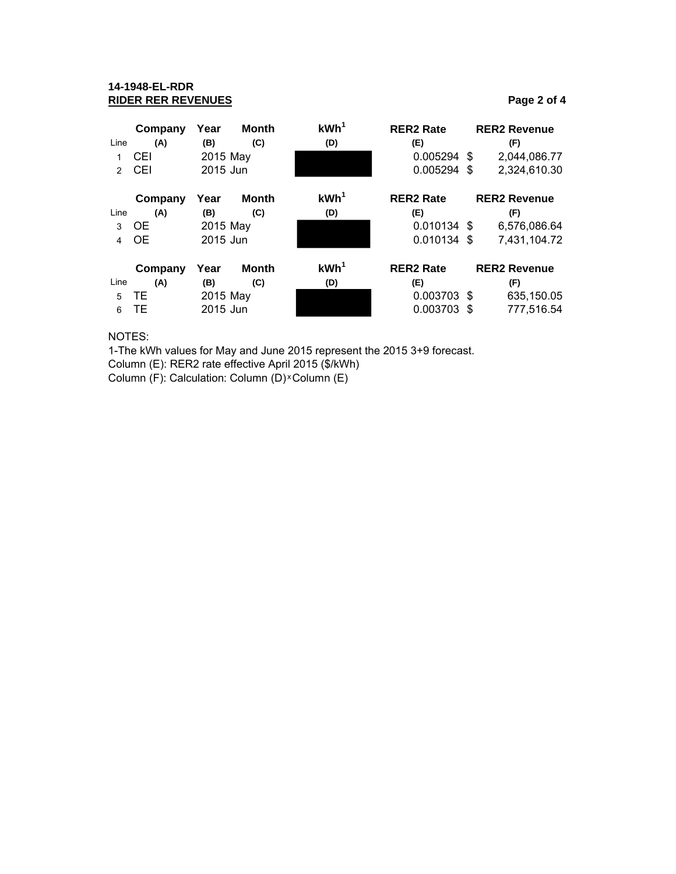## **14-1948-EL-RDR RIDER RER REVENUES Page 2 of 4**

|               | Company   | Year     | <b>Month</b> | KWh <sup>1</sup> | <b>RER2 Rate</b> | <b>RER2 Revenue</b> |
|---------------|-----------|----------|--------------|------------------|------------------|---------------------|
| Line          | (A)       | (B)      | (C)          | (D)              | (E)              | (F)                 |
|               | CEI       | 2015 May |              |                  | 0.005294 \$      | 2,044,086.77        |
| $\mathcal{P}$ | CEI       | 2015 Jun |              |                  | 0.005294 \$      | 2,324,610.30        |
|               | Company   | Year     | <b>Month</b> | KWh <sup>1</sup> | <b>RER2 Rate</b> | <b>RER2 Revenue</b> |
| Line          | (A)       | (B)      | (C)          | (D)              | (E)              | (F)                 |
| 3             | <b>OE</b> | 2015 May |              |                  | 0.010134 \$      | 6,576,086.64        |
| 4             | <b>OE</b> | 2015 Jun |              |                  | 0.010134 \$      | 7,431,104.72        |
|               | Company   | Year     | Month        | KWh <sup>1</sup> | <b>RER2 Rate</b> | <b>RER2 Revenue</b> |
| Line          | (A)       | (B)      | (C)          | (D)              | (E)              | (F)                 |
| 5             | TE.       | 2015 May |              |                  | 0.003703 \$      | 635,150.05          |
| 6             | TE        | 2015 Jun |              |                  | 0.003703 \$      | 777,516.54          |

NOTES:

1-The kWh values for May and June 2015 represent the 2015 3+9 forecast.

Column (E): RER2 rate effective April 2015 (\$/kWh)

Column (F): Calculation: Column (D) × Column (E)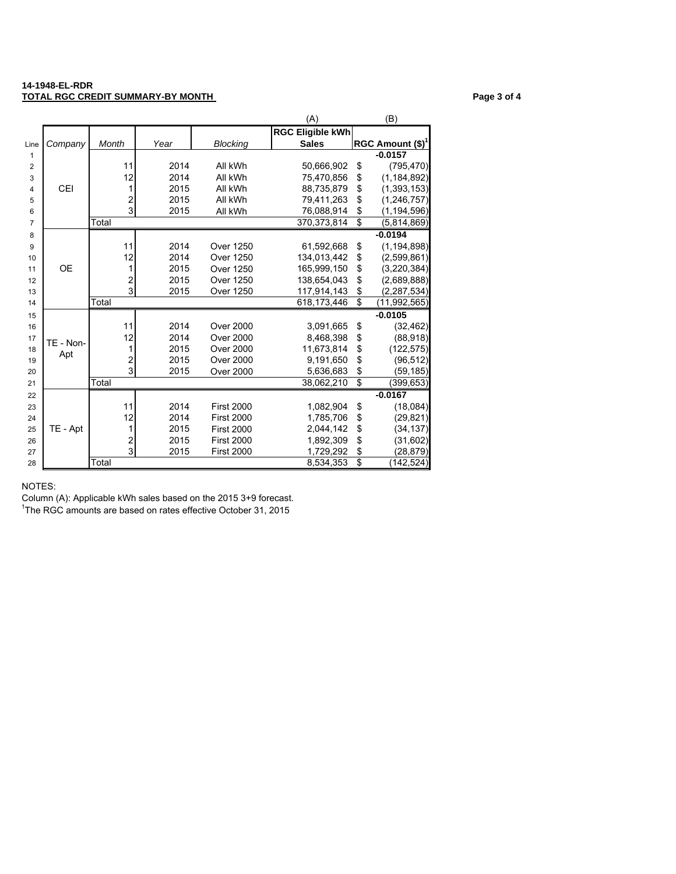#### **14-1948-EL-RDR TOTAL RGC CREDIT SUMMARY-BY MONTH CONTRACT CONTRACT CONTRACT Page 3 of 4**

|                |            |                         |      |                   | (A)                     |                 | (B)                 |
|----------------|------------|-------------------------|------|-------------------|-------------------------|-----------------|---------------------|
|                |            |                         |      |                   | <b>RGC Eligible kWh</b> |                 |                     |
| Line           | Company    | Month                   | Year | <b>Blocking</b>   | <b>Sales</b>            |                 | RGC Amount $(\$)^1$ |
| $\mathbf{1}$   |            |                         |      |                   |                         |                 | $-0.0157$           |
| $\overline{2}$ |            | 11                      | 2014 | All kWh           | 50,666,902              | \$              | (795, 470)          |
| 3              |            | 12                      | 2014 | All kWh           | 75,470,856              | \$              | (1, 184, 892)       |
| 4              | <b>CEI</b> | 1                       | 2015 | All kWh           | 88,735,879              | \$              | (1, 393, 153)       |
| 5              |            | $\overline{\mathbf{c}}$ | 2015 | All kWh           | 79,411,263              | \$              | (1, 246, 757)       |
| 6              |            | $\overline{3}$          | 2015 | All kWh           | 76,088,914              | \$              | (1, 194, 596)       |
| $\overline{7}$ |            | Total                   |      |                   | 370,373,814             | \$              | (5,814,869)         |
| 8              |            |                         |      |                   |                         |                 | $-0.0194$           |
| 9              |            | 11                      | 2014 | Over 1250         | 61,592,668              | \$              | (1, 194, 898)       |
| 10             |            | 12                      | 2014 | Over 1250         | 134,013,442             | \$              | (2,599,861)         |
| 11             | <b>OE</b>  | 1                       | 2015 | <b>Over 1250</b>  | 165,999,150             | \$              | (3,220,384)         |
| 12             |            | $\overline{\mathbf{c}}$ | 2015 | Over 1250         | 138,654,043             | \$              | (2,689,888)         |
| 13             |            | 3                       | 2015 | <b>Over 1250</b>  | 117,914,143             | \$              | (2, 287, 534)       |
| 14             |            | Total                   |      |                   | 618, 173, 446           | \$              | (11, 992, 565)      |
| 15             |            |                         |      |                   |                         |                 | $-0.0105$           |
| 16             |            | 11                      | 2014 | <b>Over 2000</b>  | 3,091,665               | \$              | (32, 462)           |
| 17             | TE - Non-  | 12                      | 2014 | <b>Over 2000</b>  | 8,468,398               | \$              | (88, 918)           |
| 18             | Apt        | 1                       | 2015 | <b>Over 2000</b>  | 11,673,814              | \$              | (122, 575)          |
| 19             |            | $\overline{\mathbf{c}}$ | 2015 | <b>Over 2000</b>  | 9,191,650               | \$              | (96, 512)           |
| 20             |            | 3                       | 2015 | <b>Over 2000</b>  | 5,636,683               | \$              | (59,185)            |
| 21             |            | Total                   |      |                   | 38,062,210              | $\overline{\$}$ | (399,653)           |
| 22             |            |                         |      |                   |                         |                 | $-0.0167$           |
| 23             |            | 11                      | 2014 | <b>First 2000</b> | 1,082,904               | \$              | (18,084)            |
| 24             |            | 12                      | 2014 | <b>First 2000</b> | 1,785,706               | \$              | (29, 821)           |
| 25             | TE - Apt   | 1                       | 2015 | <b>First 2000</b> | 2,044,142               | \$              | (34, 137)           |
| 26             |            | $\overline{c}$          | 2015 | <b>First 2000</b> | 1,892,309               | \$              | (31, 602)           |
| 27             |            | $\overline{3}$          | 2015 | <b>First 2000</b> | 1,729,292               | \$              | (28, 879)           |
| 28             |            | Total                   |      |                   | 8,534,353               | \$              | (142, 524)          |

NOTES:

Column (A): Applicable kWh sales based on the 2015 3+9 forecast.

<sup>1</sup>The RGC amounts are based on rates effective October 31, 2015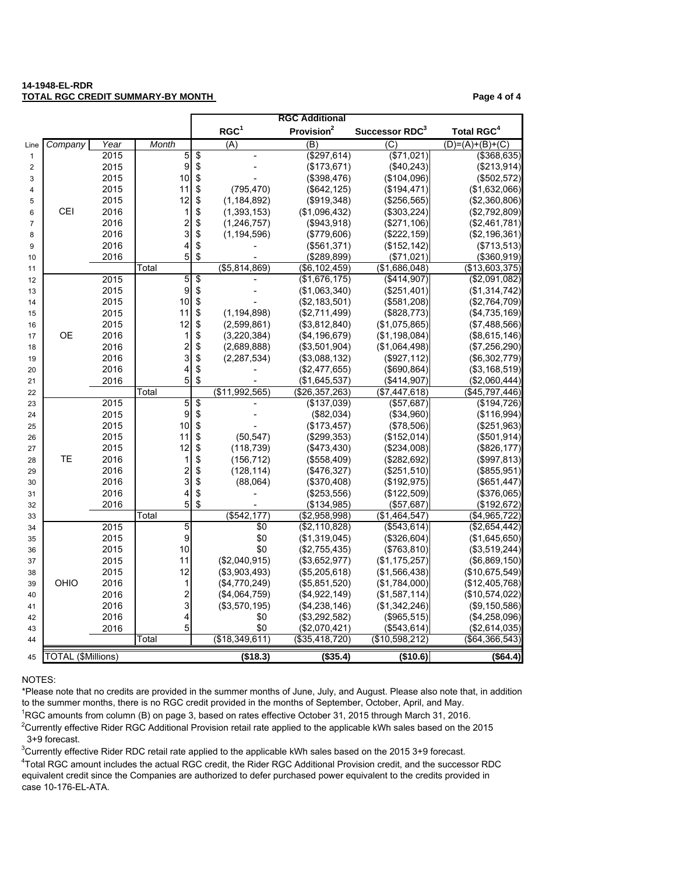#### **14-1948-EL-RDR TOTAL RGC CREDIT SUMMARY-BY MONTH PAGE 4 of 4**

|                |                    |      |                              |                                  |                  | <b>RGC Additional</b>        |                             |                               |
|----------------|--------------------|------|------------------------------|----------------------------------|------------------|------------------------------|-----------------------------|-------------------------------|
|                |                    |      |                              |                                  | RGC <sup>1</sup> | Provision <sup>2</sup>       | Successor RDC <sup>3</sup>  | <b>Total RGC<sup>4</sup></b>  |
| Line           | Company            | Year | Month                        |                                  | (A)              | (B)                          | (C)                         | $(D)= (A)+(B)+(C)$            |
| $\mathbf{1}$   |                    | 2015 | 5                            | \$                               |                  | $(*297, 614)$                | (\$71,021)                  | ( \$368, 635)                 |
| $\overline{c}$ |                    | 2015 | $\boldsymbol{9}$             | \$                               |                  | (\$173,671)                  | (\$40,243)                  | (\$213,914)                   |
| 3              |                    | 2015 | 10                           | \$                               |                  | (\$398,476)                  | (\$104,096)                 | (\$502,572)                   |
| 4              |                    | 2015 | 11                           | \$                               | (795, 470)       | (\$642, 125)                 | (\$194,471)                 | (\$1,632,066)                 |
| 5              |                    | 2015 | 12                           | \$                               | (1, 184, 892)    | (\$919,348)                  | (\$256,565)                 | (\$2,360,806)                 |
| 6              | CEI                | 2016 | 1                            | \$                               | (1, 393, 153)    | (\$1,096,432)                | (\$303,224)                 | (\$2,792,809)                 |
| $\overline{7}$ |                    | 2016 | $\overline{\mathbf{c}}$      | \$                               | (1, 246, 757)    | (\$943,918)                  | (\$271,106)                 | (\$2,461,781)                 |
| 8              |                    | 2016 | 3                            | \$                               | (1, 194, 596)    | (\$779,606)                  | (\$222,159)                 | (\$2,196,361)                 |
| 9              |                    | 2016 | 4                            | \$                               |                  | (\$561,371)                  | (\$152, 142)                | (\$713,513)                   |
| 10             |                    | 2016 | 5                            | \$                               |                  | (\$289,899)                  | (\$71,021)                  | (\$360,919)                   |
| 11             |                    |      | Total                        |                                  | (\$5,814,869)    | (\$6, 102, 459)              | (\$1,686,048)               | (\$13,603,375)                |
| 12             |                    | 2015 | 5                            | $\overline{\boldsymbol{\theta}}$ |                  | (\$1,676,175)                | (\$414,907)                 | (\$2,091,082)                 |
| 13             |                    | 2015 | 9                            | \$                               |                  | (\$1,063,340)                | (\$251,401)                 | (\$1,314,742)                 |
| 14             |                    | 2015 | 10                           | \$                               |                  | (\$2,183,501)                | (\$581,208)                 | (\$2,764,709)                 |
| 15             |                    | 2015 | 11                           | \$                               | (1, 194, 898)    | (\$2,711,499)                | (\$828,773)                 | $(\$4,735,169)$               |
| 16             |                    | 2015 | 12                           | \$                               | (2,599,861)      | (\$3,812,840)                | (\$1,075,865)               | (\$7,488,566)                 |
| 17             | <b>OE</b>          | 2016 | 1                            | \$                               | (3,220,384)      | (\$4, 196, 679)              | (\$1,198,084)               | (\$8,615,146)                 |
| 18             |                    | 2016 | $\overline{\mathbf{c}}$      | \$                               | (2,689,888)      | (\$3,501,904)                | (\$1,064,498)               | (\$7,256,290)                 |
| 19             |                    | 2016 | 3                            | \$                               | (2, 287, 534)    | (\$3,088,132)                | (\$927, 112)                | (\$6,302,779)                 |
| 20             |                    | 2016 | 4                            | \$                               |                  | (\$2,477,655)                | (\$690, 864)                | ( \$3,168,519)                |
| 21             |                    | 2016 | 5                            | \$                               |                  | (\$1,645,537)                | (\$414,907)                 | (\$2,060,444)                 |
| 22             |                    |      | Total                        |                                  | (\$11,992,565)   | (\$26,357,263)               | (\$7,447,618)               | (\$45,797,446)                |
| 23             |                    | 2015 | $\overline{5}$               | $\overline{\$}$                  |                  | (\$137,039)                  | ( \$57,687)                 | (\$194,726)                   |
| 24             |                    | 2015 | 9                            | \$                               |                  | (\$82,034)                   | (\$34,960)                  | (\$116,994)                   |
| 25             |                    | 2015 | 10                           | \$                               |                  | (\$173,457)                  | (\$78,506)                  | (\$251,963)                   |
| 26             |                    | 2015 | 11                           | \$                               | (50, 547)        | (\$299,353)                  | (\$152,014)                 | (\$501, 914)                  |
| 27             | ТE                 | 2015 | 12                           | \$                               | (118, 739)       | (\$473,430)                  | (\$234,008)                 | (\$826,177)                   |
| 28             |                    | 2016 | 1                            | \$                               | (156, 712)       | (\$558,409)                  | (\$282,692)                 | (\$997, 813)                  |
| 29             |                    | 2016 | $\overline{\mathbf{c}}$<br>3 | \$                               | (128, 114)       | (\$476,327)                  | (\$251,510)                 | $(\$855,951)$                 |
| 30             |                    | 2016 |                              | \$                               | (88,064)         | (\$370,408)                  | (\$192,975)                 | (\$651,447)                   |
| 31             |                    | 2016 | 4<br>5                       | \$<br>\$                         |                  | (\$253,556)                  | (\$122,509)                 | (\$376,065)                   |
| 32             |                    | 2016 | Total                        |                                  | $($ \$542,177)   | (\$134,985)<br>(\$2,958,998) | (\$57,687)<br>(\$1,464,547) | (\$192, 672)<br>(\$4,965,722) |
| 33<br>34       |                    | 2015 | 5                            |                                  | \$0              | (\$2,110,828)                | (\$543,614)                 | (\$2,654,442)                 |
| 35             |                    | 2015 | 9                            |                                  | \$0              | (\$1,319,045)                | (\$326,604)                 | $(\$1,645,650)$               |
| 36             |                    | 2015 | 10                           |                                  | \$0              | (\$2,755,435)                | (\$763, 810)                | (\$3,519,244)                 |
| 37             |                    | 2015 | 11                           |                                  | (\$2,040,915)    | (\$3,652,977)                | (\$1,175,257)               | (\$6,869,150)                 |
| 38             |                    | 2015 | 12                           |                                  | (\$3,903,493)    | (\$5,205,618)                | (\$1,566,438)               | (\$10,675,549)                |
| 39             | OHIO               | 2016 | 1                            |                                  | (\$4,770,249)    | (\$5,851,520)                | (\$1,784,000)               | (\$12,405,768)                |
| 40             |                    | 2016 | $\overline{\mathbf{c}}$      |                                  | (\$4,064,759)    | (\$4,922,149)                | (\$1,587,114)               | (\$10,574,022)                |
| 41             |                    | 2016 | 3                            |                                  | (\$3,570,195)    | (\$4,238,146)                | (\$1,342,246)               | (\$9,150,586)                 |
| 42             |                    | 2016 | 4                            |                                  | \$0              | (\$3,292,582)                | (\$965,515)                 | (\$4,258,096)                 |
| 43             |                    | 2016 | 5                            |                                  | \$0              | (\$2,070,421)                | (\$543,614)                 | (\$2,614,035)                 |
| 44             |                    |      | Total                        |                                  | (\$18,349,611)   | (\$35,418,720)               | (\$10,598,212)              | (\$64,366,543)                |
| 45             | TOTAL (\$Millions) |      |                              |                                  | (\$18.3)         | (\$35.4)                     | (\$10.6)                    | ( \$64.4)                     |

#### NOTES:

\*Please note that no credits are provided in the summer months of June, July, and August. Please also note that, in addition to the summer months, there is no RGC credit provided in the months of September, October, April, and May.

RGC amounts from column (B) on page 3, based on rates effective October 31, 2015 through March 31, 2016.

<sup>2</sup>Currently effective Rider RGC Additional Provision retail rate applied to the applicable kWh sales based on the 2015 3+9 forecast.

Currently effective Rider RDC retail rate applied to the applicable kWh sales based on the 2015 3+9 forecast.

 Total RGC amount includes the actual RGC credit, the Rider RGC Additional Provision credit, and the successor RDC equivalent credit since the Companies are authorized to defer purchased power equivalent to the credits provided in case 10-176-EL-ATA.